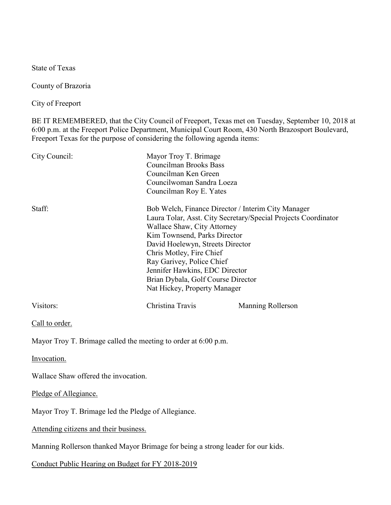State of Texas

County of Brazoria

City of Freeport

BE IT REMEMBERED, that the City Council of Freeport, Texas met on Tuesday, September 10, 2018 at 6:00 p.m. at the Freeport Police Department, Municipal Court Room, 430 North Brazosport Boulevard, Freeport Texas for the purpose of considering the following agenda items:

| City Council:                                                  | Mayor Troy T. Brimage<br><b>Councilman Brooks Bass</b><br>Councilman Ken Green<br>Councilwoman Sandra Loeza<br>Councilman Roy E. Yates                                                                                                                                                                                                                                                   |                   |
|----------------------------------------------------------------|------------------------------------------------------------------------------------------------------------------------------------------------------------------------------------------------------------------------------------------------------------------------------------------------------------------------------------------------------------------------------------------|-------------------|
| Staff:                                                         | Bob Welch, Finance Director / Interim City Manager<br>Laura Tolar, Asst. City Secretary/Special Projects Coordinator<br>Wallace Shaw, City Attorney<br>Kim Townsend, Parks Director<br>David Hoelewyn, Streets Director<br>Chris Motley, Fire Chief<br>Ray Garivey, Police Chief<br>Jennifer Hawkins, EDC Director<br>Brian Dybala, Golf Course Director<br>Nat Hickey, Property Manager |                   |
| Visitors:                                                      | Christina Travis                                                                                                                                                                                                                                                                                                                                                                         | Manning Rollerson |
| Call to order.                                                 |                                                                                                                                                                                                                                                                                                                                                                                          |                   |
| Mayor Troy T. Brimage called the meeting to order at 6:00 p.m. |                                                                                                                                                                                                                                                                                                                                                                                          |                   |
| Invocation.                                                    |                                                                                                                                                                                                                                                                                                                                                                                          |                   |
| Wallace Shaw offered the invocation.                           |                                                                                                                                                                                                                                                                                                                                                                                          |                   |
| Pledge of Allegiance.                                          |                                                                                                                                                                                                                                                                                                                                                                                          |                   |
| Mayor Troy T. Brimage led the Pledge of Allegiance.            |                                                                                                                                                                                                                                                                                                                                                                                          |                   |
| Attending citizens and their business.                         |                                                                                                                                                                                                                                                                                                                                                                                          |                   |

Manning Rollerson thanked Mayor Brimage for being a strong leader for our kids.

Conduct Public Hearing on Budget for FY 2018-2019